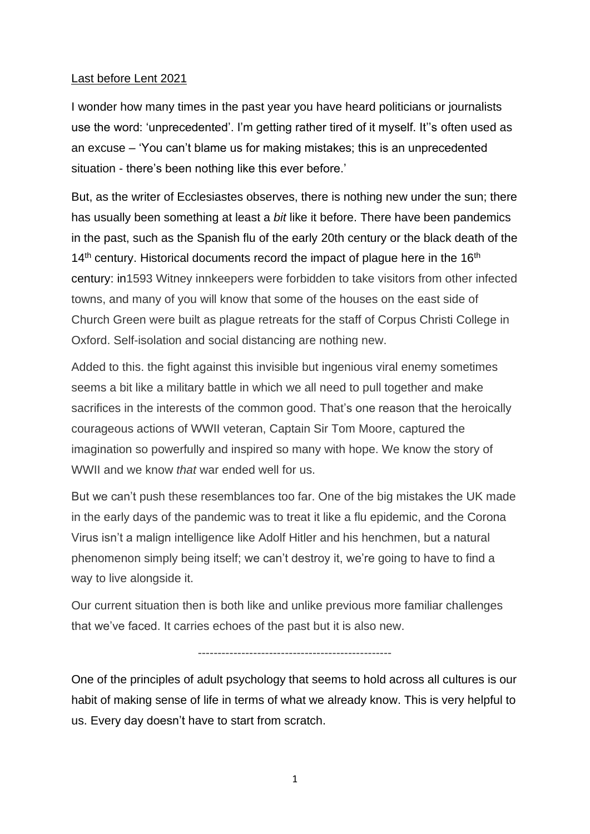## Last before Lent 2021

I wonder how many times in the past year you have heard politicians or journalists use the word: 'unprecedented'. I'm getting rather tired of it myself. It''s often used as an excuse – 'You can't blame us for making mistakes; this is an unprecedented situation - there's been nothing like this ever before.'

But, as the writer of Ecclesiastes observes, there is nothing new under the sun; there has usually been something at least a *bit* like it before. There have been pandemics in the past, such as the Spanish flu of the early 20th century or the black death of the  $14<sup>th</sup>$  century. Historical documents record the impact of plague here in the  $16<sup>th</sup>$ century: in1593 Witney innkeepers were forbidden to take visitors from other infected towns, and many of you will know that some of the houses on the east side of Church Green were built as plague retreats for the staff of Corpus Christi College in Oxford. Self-isolation and social distancing are nothing new.

Added to this. the fight against this invisible but ingenious viral enemy sometimes seems a bit like a military battle in which we all need to pull together and make sacrifices in the interests of the common good. That's one reason that the heroically courageous actions of WWII veteran, Captain Sir Tom Moore, captured the imagination so powerfully and inspired so many with hope. We know the story of WWII and we know *that* war ended well for us.

But we can't push these resemblances too far. One of the big mistakes the UK made in the early days of the pandemic was to treat it like a flu epidemic, and the Corona Virus isn't a malign intelligence like Adolf Hitler and his henchmen, but a natural phenomenon simply being itself; we can't destroy it, we're going to have to find a way to live alongside it.

Our current situation then is both like and unlike previous more familiar challenges that we've faced. It carries echoes of the past but it is also new.

-------------------------------------------------

One of the principles of adult psychology that seems to hold across all cultures is our habit of making sense of life in terms of what we already know. This is very helpful to us. Every day doesn't have to start from scratch.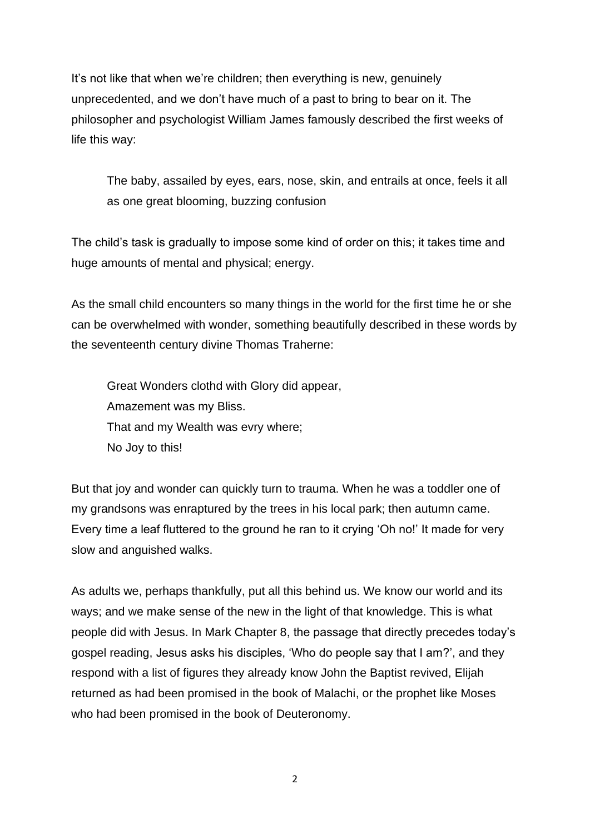It's not like that when we're children; then everything is new, genuinely unprecedented, and we don't have much of a past to bring to bear on it. The philosopher and psychologist William James famously described the first weeks of life this way:

The baby, assailed by eyes, ears, nose, skin, and entrails at once, feels it all as one great blooming, buzzing confusion

The child's task is gradually to impose some kind of order on this; it takes time and huge amounts of mental and physical; energy.

As the small child encounters so many things in the world for the first time he or she can be overwhelmed with wonder, something beautifully described in these words by the seventeenth century divine Thomas Traherne:

Great Wonders clothd with Glory did appear, Amazement was my Bliss. That and my Wealth was evry where; No Joy to this!

But that joy and wonder can quickly turn to trauma. When he was a toddler one of my grandsons was enraptured by the trees in his local park; then autumn came. Every time a leaf fluttered to the ground he ran to it crying 'Oh no!' It made for very slow and anguished walks.

As adults we, perhaps thankfully, put all this behind us. We know our world and its ways; and we make sense of the new in the light of that knowledge. This is what people did with Jesus. In Mark Chapter 8, the passage that directly precedes today's gospel reading, Jesus asks his disciples, 'Who do people say that I am?', and they respond with a list of figures they already know John the Baptist revived, Elijah returned as had been promised in the book of Malachi, or the prophet like Moses who had been promised in the book of Deuteronomy.

2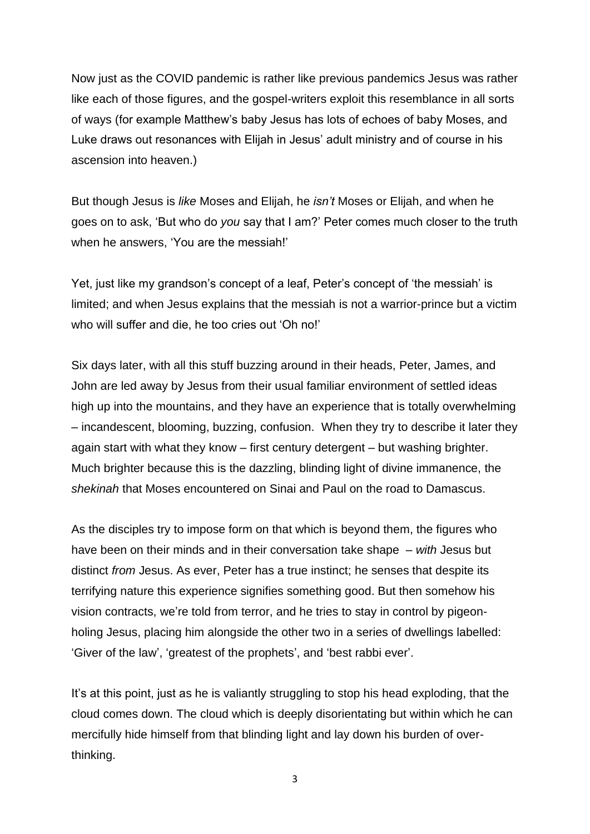Now just as the COVID pandemic is rather like previous pandemics Jesus was rather like each of those figures, and the gospel-writers exploit this resemblance in all sorts of ways (for example Matthew's baby Jesus has lots of echoes of baby Moses, and Luke draws out resonances with Elijah in Jesus' adult ministry and of course in his ascension into heaven.)

But though Jesus is *like* Moses and Elijah, he *isn't* Moses or Elijah, and when he goes on to ask, 'But who do *you* say that I am?' Peter comes much closer to the truth when he answers, 'You are the messiah!'

Yet, just like my grandson's concept of a leaf, Peter's concept of 'the messiah' is limited; and when Jesus explains that the messiah is not a warrior-prince but a victim who will suffer and die, he too cries out 'Oh no!'

Six days later, with all this stuff buzzing around in their heads, Peter, James, and John are led away by Jesus from their usual familiar environment of settled ideas high up into the mountains, and they have an experience that is totally overwhelming – incandescent, blooming, buzzing, confusion. When they try to describe it later they again start with what they know – first century detergent – but washing brighter. Much brighter because this is the dazzling, blinding light of divine immanence, the *shekinah* that Moses encountered on Sinai and Paul on the road to Damascus.

As the disciples try to impose form on that which is beyond them, the figures who have been on their minds and in their conversation take shape – *with* Jesus but distinct *from* Jesus. As ever, Peter has a true instinct; he senses that despite its terrifying nature this experience signifies something good. But then somehow his vision contracts, we're told from terror, and he tries to stay in control by pigeonholing Jesus, placing him alongside the other two in a series of dwellings labelled: 'Giver of the law', 'greatest of the prophets', and 'best rabbi ever'.

It's at this point, just as he is valiantly struggling to stop his head exploding, that the cloud comes down. The cloud which is deeply disorientating but within which he can mercifully hide himself from that blinding light and lay down his burden of overthinking.

3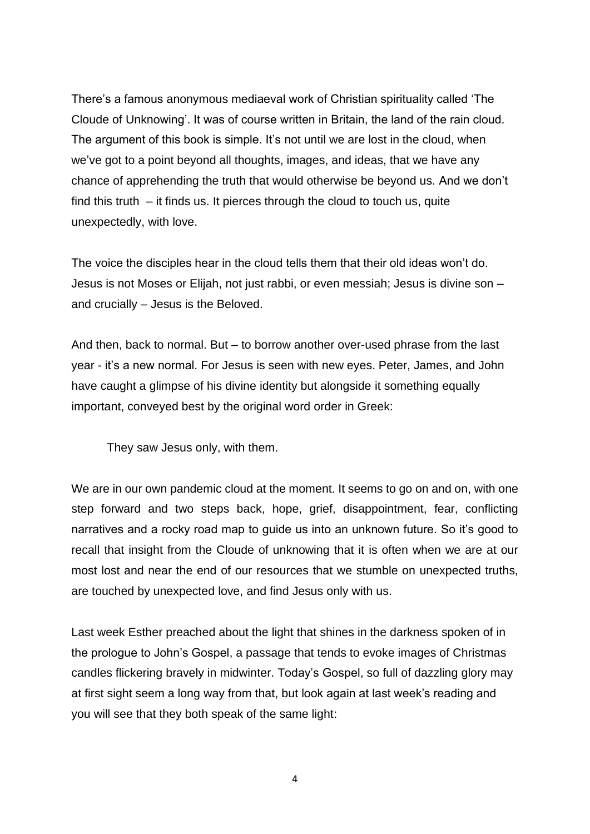There's a famous anonymous mediaeval work of Christian spirituality called 'The Cloude of Unknowing'. It was of course written in Britain, the land of the rain cloud. The argument of this book is simple. It's not until we are lost in the cloud, when we've got to a point beyond all thoughts, images, and ideas, that we have any chance of apprehending the truth that would otherwise be beyond us. And we don't find this truth – it finds us. It pierces through the cloud to touch us, quite unexpectedly, with love.

The voice the disciples hear in the cloud tells them that their old ideas won't do. Jesus is not Moses or Elijah, not just rabbi, or even messiah; Jesus is divine son – and crucially – Jesus is the Beloved.

And then, back to normal. But – to borrow another over-used phrase from the last year - it's a new normal. For Jesus is seen with new eyes. Peter, James, and John have caught a glimpse of his divine identity but alongside it something equally important, conveyed best by the original word order in Greek:

They saw Jesus only, with them.

We are in our own pandemic cloud at the moment. It seems to go on and on, with one step forward and two steps back, hope, grief, disappointment, fear, conflicting narratives and a rocky road map to guide us into an unknown future. So it's good to recall that insight from the Cloude of unknowing that it is often when we are at our most lost and near the end of our resources that we stumble on unexpected truths, are touched by unexpected love, and find Jesus only with us.

Last week Esther preached about the light that shines in the darkness spoken of in the prologue to John's Gospel, a passage that tends to evoke images of Christmas candles flickering bravely in midwinter. Today's Gospel, so full of dazzling glory may at first sight seem a long way from that, but look again at last week's reading and you will see that they both speak of the same light:

4